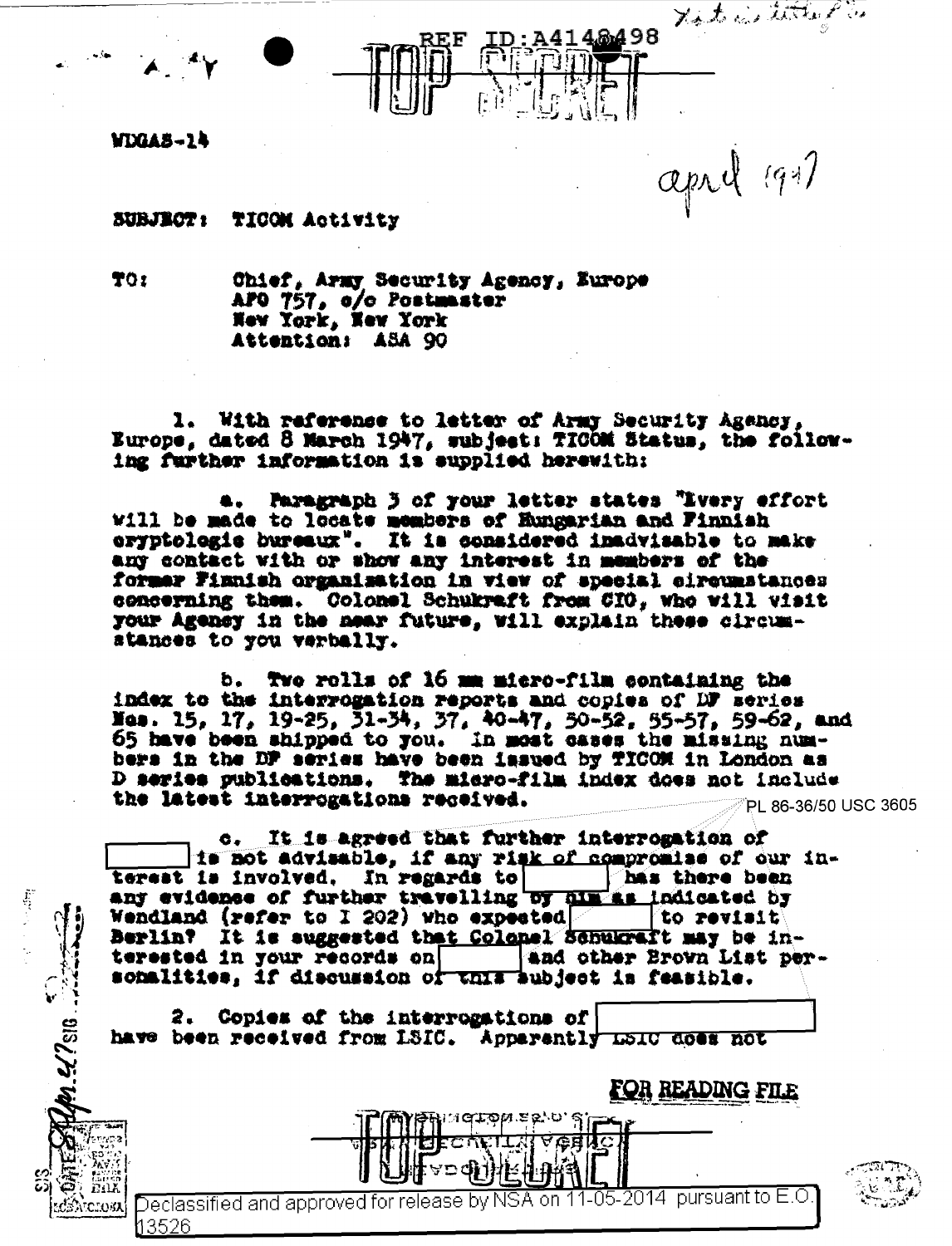WDGAS-14

april 1997

SUBJECT: TICOM Activity

TO<sub>2</sub>

 $\tilde{\mathbf{r}}$ 

**UM.42 2818** 

Atchosa

Chief, Army Security Agency, Europe APO 757, o/o Postmaster New York, New York Attention: ASA 90

REF

1. With reference to letter of Army Security Agency, Europe, dated 8 March 1947, subject: TICOM Status, the following further information is supplied herewith:

Paragraph 3 of your letter states "Ivery effort Will be made to locate members of Hungarian and Finnish eryptologie bureaux". It is considered inadvisable to make any contact with or show any interest in members of the former Finnish organisation in view of special circumstances concerning them. Colonel Schukraft from CIO, who will wisit your Agency in the near future, will explain these circumstances to you verbally.

Two rolls of 16 mm micro-film containing the ь. index to the interrogation reports and copies of DF series Nes. 15, 17, 19-25, 31-34, 37, 40-47, 50-52, 55-57, 59-62, and<br>65 have been shipped to you. In most cases the missing numbers in the DF series have been issued by TICOM in London as D series publications. The micro-film index does not include the latest interrogations received. PL 86-36/50 USC 3605

It is agreed that further interrogation of  $\bullet$ . is not advisable, if any risk of compromise of our interest is involved. In regards to has there been<br>any evidence of further travelling by him as indicated by Wendland (refer to I 202) who expected a to revisit Berlin? It is suggested that Colonel Schukraft may be interested in your records on and other Brown List personalities, if discussion of this aubject in feasible.

2. Copies of the interrogations of have been received from LSIC. Apparently LSIC does not

FOR READING FILE

Declassified and approved for release by NSA on 11-05-2014  $\,$  pursuant to E.O 13526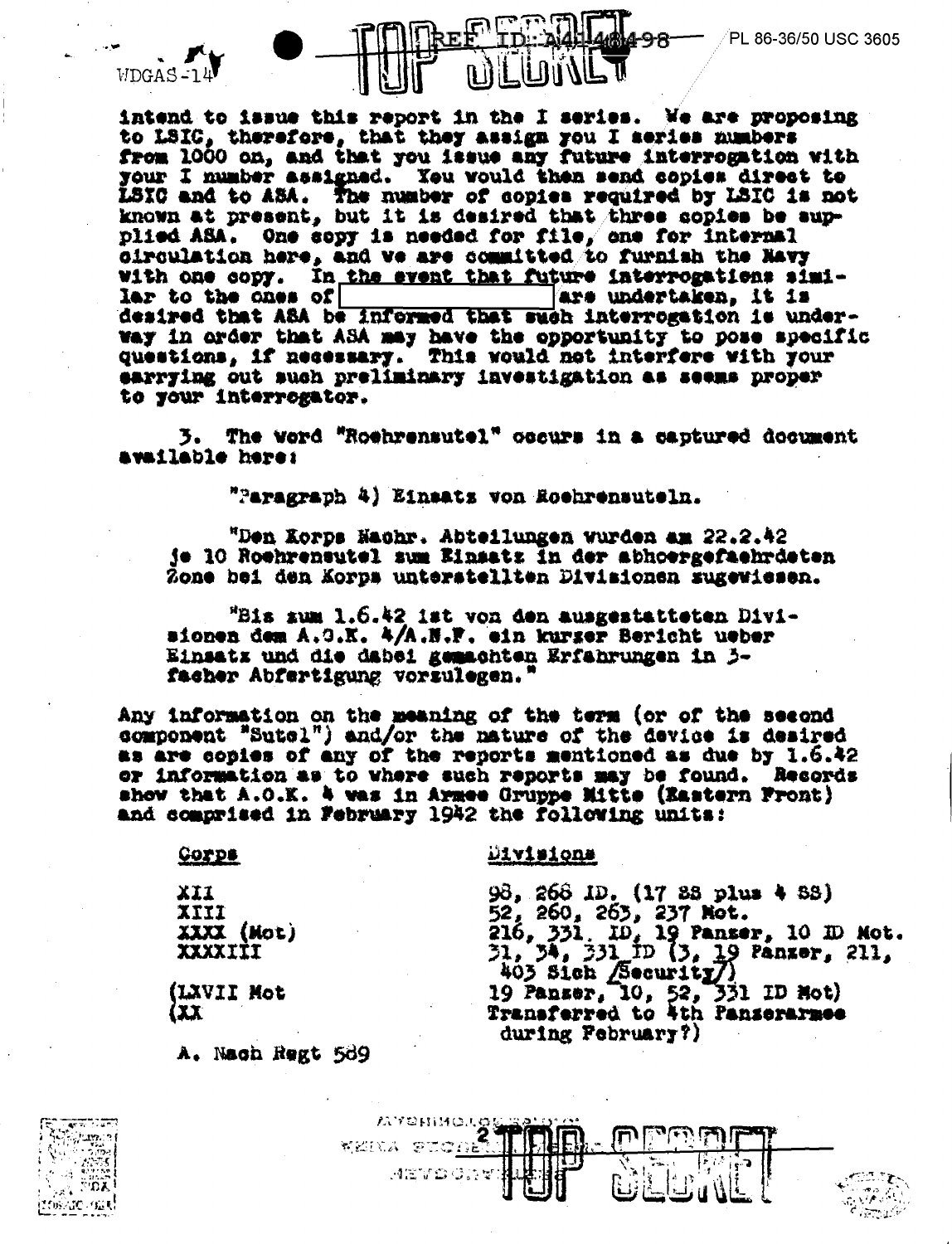



intend to issue this report in the I series. We are proposing to LSIC, therefore, that they assign you I series numbers from 1000 on, and that you issue any future interrogation with your I number assigned. You would then send copies direct to LSIC and to ASA. The number of copies required by LSIC is not known at present, but it is desired that three copies be supplied ASA. One sopy is needed for file, one for internal circulation here, and we are committed to furnish the Navy with one copy. In the event that future interrogations simiars undertaken, it is lar to the ches of desired that ASA be informed that such interrogation is underway in order that ASA may have the opportunity to pose specific<br>questions, if necessary. This would not interfere with your earrying out such preliminary investigation as seems proper to your interrogator.

3. The word "Roehrensutel" occurs in a captured document available here:

"Paragraph 4) Einsatz von Roehrensuteln.

"Den Korps Nachr. Abteilungen wurden am 22.2.42 je 10 Roehrensutel sum Einsatz in der abhoergefaehrdeten Zone bei den Korps unterstellten Divisionen zugewiesen.

"Bis sum 1.6.42 ist von den ausgestatteten Divisionen dem A.O.K. 4/A.N.F. ein kurger Bericht ueber Einsatz und die dabei gemachten Erfahrungen in 3facher Abfertigung vorzulegen.'

Any information on the meaning of the term (or of the second component "Sutel") and/or the nature of the device is desired as are copies of any of the reports mentioned as due by 1.6.42 or information as to where such reports may be found. Records show that A.O.K. 4 was in Armee Gruppe Mitte (Eastern Front) and comprised in February 1942 the following units:

**COYDS** 

<u>Divisions</u>

XII. IIIX XXXX (Mot) IIIXXXX

(LXVII Mot (XX)

A. Nach Regt 589





during February?)

98, 268 ID. (17 88 plus 4 88)<br>52, 260, 265, 237 Not.<br>216, 331, 10, 19 Panser, 10 ID Not.<br>31, 34, 331 ID (3, 19 Panser, 211,

403 Sich (Security)<br>19 Panser, 10, 52, 331 ID Not)

Transferred to 4th Panserarmee